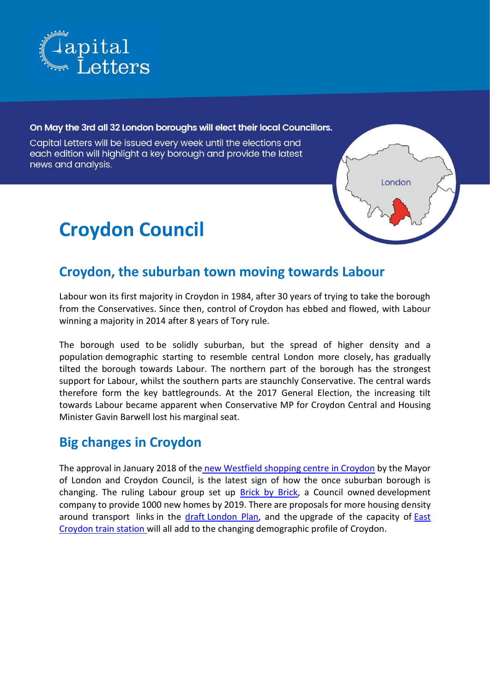

#### On May the 3rd all 32 London boroughs will elect their local Councillors.

Capital Letters will be issued every week until the elections and each edition will highlight a key borough and provide the latest news and analysis.

# **Croydon Council**



### **Croydon, the suburban town moving towards Labour**

Labour won its first majority in Croydon in 1984, after 30 years of trying to take the borough from the Conservatives. Since then, control of Croydon has ebbed and flowed, with Labour winning a majority in 2014 after 8 years of Tory rule.

The borough used to be solidly suburban, but the spread of higher density and a population demographic starting to resemble central London more closely, has gradually tilted the borough towards Labour. The northern part of the borough has the strongest support for Labour, whilst the southern parts are staunchly Conservative. The central wards therefore form the key battlegrounds. At the 2017 General Election, the increasing tilt towards Labour became apparent when Conservative MP for Croydon Central and Housing Minister Gavin Barwell lost his marginal seat.

#### **Big changes in Croydon**

The approval in January 2018 of the [new Westfield shopping centre](https://www.croydonadvertiser.co.uk/news/croydon-news/its-happening-london-mayor-gives-1028427) in Croydon by the Mayor of London and Croydon Council, is the latest sign of how the once suburban borough is changing. The ruling Labour group set up [Brick by Brick,](https://www.croydon.gov.uk/planningandregeneration/regeneration/brick-by-brick-small-sites-programme/brick-by-brick) a Council owned development company to provide 1000 new homes by 2019. There are proposals for more housing density around transport links in the draft [London Plan,](https://www.london.gov.uk/press-releases/mayoral/mayor-rips-up-old-planning-rules) and the upgrade of the capacity of [East](https://www.croydonadvertiser.co.uk/news/croydon-news/major-plans-add-two-new-1257380)  [Croydon train station w](https://www.croydonadvertiser.co.uk/news/croydon-news/major-plans-add-two-new-1257380)ill all add to the changing demographic profile of Croydon.